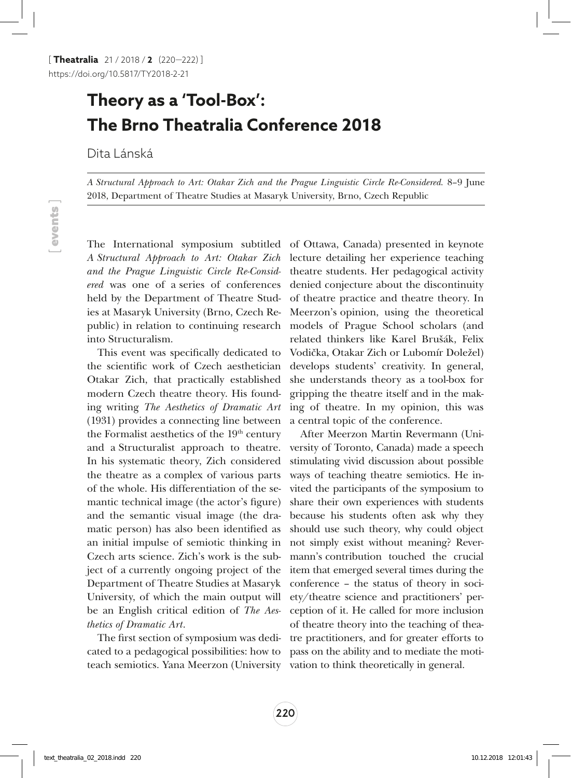## **Theory as a 'Tool-Box': The Brno Theatralia Conference 2018**

Dita Lánská

*A Structural Approach to Art: Otakar Zich and the Prague Linguistic Circle Re-Considered.* 8–9 June 2018, Department of Theatre Studies at Masaryk University, Brno, Czech Republic

*A Structural Approach to Art: Otakar Zich and the Prague Linguistic Circle Re-Considered* was one of a series of conferences held by the Department of Theatre Studies at Masaryk University (Brno, Czech Republic) in relation to continuing research into Structuralism.

This event was specifically dedicated to the scientific work of Czech aesthetician Otakar Zich, that practically established modern Czech theatre theory. His founding writing *The Aesthetics of Dramatic Art* (1931) provides a connecting line between the Formalist aesthetics of the  $19<sup>th</sup>$  century and a Structuralist approach to theatre. In his systematic theory, Zich considered the theatre as a complex of various parts of the whole. His differentiation of the semantic technical image (the actor's figure) and the semantic visual image (the dramatic person) has also been identified as an initial impulse of semiotic thinking in Czech arts science. Zich's work is the subject of a currently ongoing project of the Department of Theatre Studies at Masaryk University, of which the main output will be an English critical edition of *The Aesthetics of Dramatic Art*.

The first section of symposium was dedicated to a pedagogical possibilities: how to teach semiotics. Yana Meerzon (University vation to think theoretically in general.

The International symposium subtitled of Ottawa, Canada) presented in keynote lecture detailing her experience teaching theatre students. Her pedagogical activity denied conjecture about the discontinuity of theatre practice and theatre theory. In Meerzon's opinion, using the theoretical models of Prague School scholars (and related thinkers like Karel Brušák, Felix Vodička, Otakar Zich or Lubomír Doležel) develops students' creativity. In general, she understands theory as a tool-box for gripping the theatre itself and in the making of theatre. In my opinion, this was a central topic of the conference.

> After Meerzon Martin Revermann (University of Toronto, Canada) made a speech stimulating vivid discussion about possible ways of teaching theatre semiotics. He invited the participants of the symposium to share their own experiences with students because his students often ask why they should use such theory, why could object not simply exist without meaning? Revermann's contribution touched the crucial item that emerged several times during the conference – the status of theory in society/theatre science and practitioners' perception of it. He called for more inclusion of theatre theory into the teaching of theatre practitioners, and for greater efforts to pass on the ability and to mediate the moti-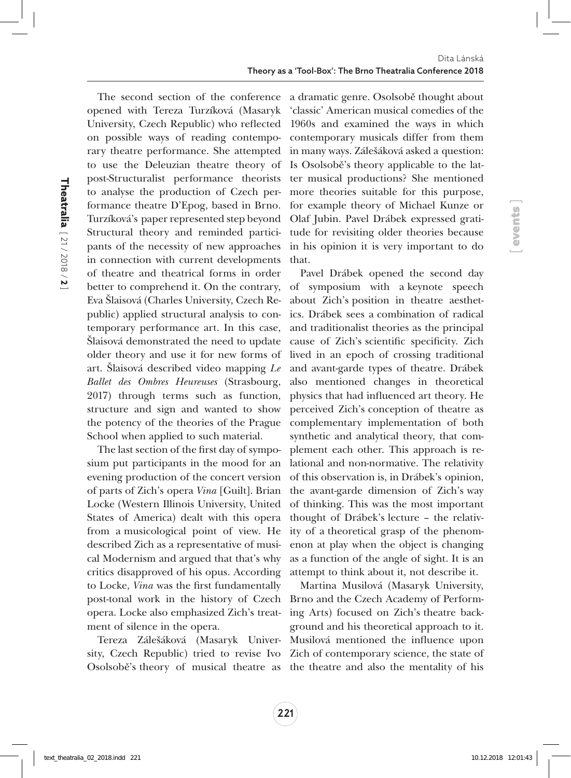opened with Tereza Turzíková (Masaryk University, Czech Republic) who reflected on possible ways of reading contemporary theatre performance. She attempted to use the Deleuzian theatre theory of post-Structuralist performance theorists to analyse the production of Czech performance theatre D'Epog, based in Brno. Turzíková's paper represented step beyond Structural theory and reminded participants of the necessity of new approaches in connection with current developments of theatre and theatrical forms in order better to comprehend it. On the contrary, Eva Šlaisová (Charles University, Czech Republic) applied structural analysis to contemporary performance art. In this case, Šlaisová demonstrated the need to update older theory and use it for new forms of art. Šlaisová described video mapping *Le Ballet des Ombres Heureuses* (Strasbourg, 2017) through terms such as function, structure and sign and wanted to show the potency of the theories of the Prague School when applied to such material.

The last section of the first day of symposium put participants in the mood for an evening production of the concert version of parts of Zich's opera *Vina* [Guilt]. Brian Locke (Western Illinois University, United States of America) dealt with this opera from a musicological point of view. He described Zich as a representative of musical Modernism and argued that that's why critics disapproved of his opus. According to Locke, *Vina* was the first fundamentally post-tonal work in the history of Czech opera. Locke also emphasized Zich's treatment of silence in the opera.

Tereza Zálešáková (Masaryk University, Czech Republic) tried to revise Ivo Zich of contemporary science, the state of Osolsobě's theory of musical theatre as the theatre and also the mentality of his

The second section of the conference a dramatic genre. Osolsobě thought about 'classic' American musical comedies of the 1960s and examined the ways in which contemporary musicals differ from them in many ways. Zálešáková asked a question: Is Osolsobě's theory applicable to the latter musical productions? She mentioned more theories suitable for this purpose, for example theory of Michael Kunze or Olaf Jubin. Pavel Drábek expressed gratitude for revisiting older theories because in his opinion it is very important to do that.

[ events ]

Pavel Drábek opened the second day of symposium with a keynote speech about Zich's position in theatre aesthetics. Drábek sees a combination of radical and traditionalist theories as the principal cause of Zich's scientific specificity. Zich lived in an epoch of crossing traditional and avant-garde types of theatre. Drábek also mentioned changes in theoretical physics that had influenced art theory. He perceived Zich's conception of theatre as complementary implementation of both synthetic and analytical theory, that complement each other. This approach is relational and non-normative. The relativity of this observation is, in Drábek's opinion, the avant-garde dimension of Zich's way of thinking. This was the most important thought of Drábek's lecture – the relativity of a theoretical grasp of the phenomenon at play when the object is changing as a function of the angle of sight. It is an attempt to think about it, not describe it.

Martina Musilová (Masaryk University, Brno and the Czech Academy of Performing Arts) focused on Zich's theatre background and his theoretical approach to it. Musilová mentioned the influence upon